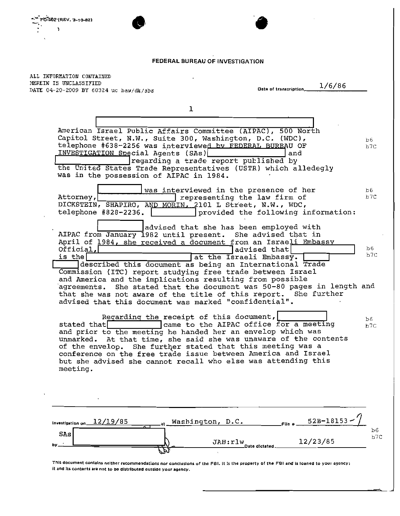## FEDERAL BUREAU OF INVESTIGATION

 $\cdot$ 

ALL INFORMATION CONTAINED HEREIN IS UNCLASSIFIED **Date of** transCr'PtlOn lc./\_6",,/\_8\_6 \_ **DATE 04-20-2009 BY 60324 uc baw/dk/sbs** 

D-S02 (REV. 3-10-82)

ÿ

**'.** 

| American Israel Public Affairs Committee (AIPAC), 500 North<br>Capitol Street, N.W., Suite 300, Washington, D.C. (WDC),<br><b>b6</b><br>telephone #638-2256 was interviewed by FEDERAL BUREAU OF<br>b7C<br>INVESTIGATION Special Agents (SAs)<br>and<br>regarding a trade report published by<br>the United States Trade Representatives (USTR) which alledegly<br>was in the possession of AIPAC in 1984.<br>was interviewed in the presence of her<br>b6.<br>b7C<br>Attorney,<br>representing the law firm of<br>DICKSTEIN, SHAPIRO, AND MORIN, 2101 L Street, N.W., WDC,<br>telephone #828-2236.<br>provided the following information:<br>advised that she has been employed with<br>AIPAC from January 1982 until present. She advised that in<br>April of 1984, she received a document from an Israeli Embassy<br>Ъб.<br>Official,<br>advised that<br>b7C<br>at the Israeli Embassy.<br>is the<br>described this document as being an International Trade<br>Commission (ITC) report studying free trade between Israel<br>and America and the implications resulting from possible<br>agreements. She stated that the document was 50-80 pages in length and<br>that she was not aware of the title of this report. She further<br>advised that this document was marked "confidential".<br>Regarding the receipt of this document,<br>b6<br>came to the AIPAC office for a meeting<br>stated that<br>b7C<br>and prior to the meeting he handed her an envelop which was<br>unmarked. At that time, she said she was unaware of the contents<br>of the envelop. She further stated that this meeting was a<br>conference on the free trade issue between America and Israel<br>but she advised she cannot recall who else was attending this<br>meeting.<br>52B-18153<br>Washington, D.C.<br>12/19/85<br>Investigation on_<br>$File *$<br>b6<br><b>SAs</b><br>b7c<br>12/23/85<br>JAH:rlw<br>by.<br>Date dictated | $\mathbf 1$ |  |
|--------------------------------------------------------------------------------------------------------------------------------------------------------------------------------------------------------------------------------------------------------------------------------------------------------------------------------------------------------------------------------------------------------------------------------------------------------------------------------------------------------------------------------------------------------------------------------------------------------------------------------------------------------------------------------------------------------------------------------------------------------------------------------------------------------------------------------------------------------------------------------------------------------------------------------------------------------------------------------------------------------------------------------------------------------------------------------------------------------------------------------------------------------------------------------------------------------------------------------------------------------------------------------------------------------------------------------------------------------------------------------------------------------------------------------------------------------------------------------------------------------------------------------------------------------------------------------------------------------------------------------------------------------------------------------------------------------------------------------------------------------------------------------------------------------------------------------------------------------------------------------------------------------------------------|-------------|--|
|                                                                                                                                                                                                                                                                                                                                                                                                                                                                                                                                                                                                                                                                                                                                                                                                                                                                                                                                                                                                                                                                                                                                                                                                                                                                                                                                                                                                                                                                                                                                                                                                                                                                                                                                                                                                                                                                                                                          |             |  |
|                                                                                                                                                                                                                                                                                                                                                                                                                                                                                                                                                                                                                                                                                                                                                                                                                                                                                                                                                                                                                                                                                                                                                                                                                                                                                                                                                                                                                                                                                                                                                                                                                                                                                                                                                                                                                                                                                                                          |             |  |
|                                                                                                                                                                                                                                                                                                                                                                                                                                                                                                                                                                                                                                                                                                                                                                                                                                                                                                                                                                                                                                                                                                                                                                                                                                                                                                                                                                                                                                                                                                                                                                                                                                                                                                                                                                                                                                                                                                                          |             |  |
|                                                                                                                                                                                                                                                                                                                                                                                                                                                                                                                                                                                                                                                                                                                                                                                                                                                                                                                                                                                                                                                                                                                                                                                                                                                                                                                                                                                                                                                                                                                                                                                                                                                                                                                                                                                                                                                                                                                          |             |  |
|                                                                                                                                                                                                                                                                                                                                                                                                                                                                                                                                                                                                                                                                                                                                                                                                                                                                                                                                                                                                                                                                                                                                                                                                                                                                                                                                                                                                                                                                                                                                                                                                                                                                                                                                                                                                                                                                                                                          |             |  |
|                                                                                                                                                                                                                                                                                                                                                                                                                                                                                                                                                                                                                                                                                                                                                                                                                                                                                                                                                                                                                                                                                                                                                                                                                                                                                                                                                                                                                                                                                                                                                                                                                                                                                                                                                                                                                                                                                                                          |             |  |
|                                                                                                                                                                                                                                                                                                                                                                                                                                                                                                                                                                                                                                                                                                                                                                                                                                                                                                                                                                                                                                                                                                                                                                                                                                                                                                                                                                                                                                                                                                                                                                                                                                                                                                                                                                                                                                                                                                                          |             |  |

This document contains neither recommendations nor conclusions of the FBI. It is the property of the FBI and is loaned to your agency; **it and Its contents are not to be distributed outside your agency.**